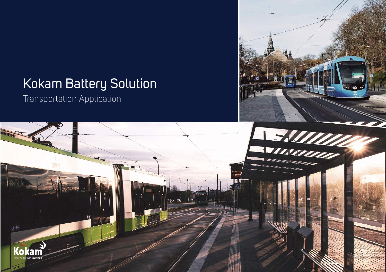# Kokam Battery Solution

**SAUTE** 

Transportation Application

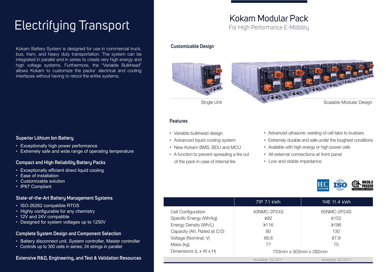# Electrifying Transport

Kokam Battery System is designed for use in commercial truck, bus, tram, and heavy duty transportation. The system can be integrated in parallel and in series to create very high energy and high voltage systems. Furthermore, the "Variable Bulkhead" allows Kokam to customize the packs' electrical and cooling interfaces without having to retool the entire systems.

#### **Superior Lithium Ion Battery**

- · Exceptionally high power performance
- · Extremely safe and wide range of operating temperature

#### **Compact and High Reliability Battery Packs**

- · Exceptionally efficient direct liquid cooling
- · Ease of installation
- · Customizable solution
- · IP67 Compliant

#### **State-of-the-Art Battery Management Systems**

- · ISO-26262 compatible RTOS
- · Highly configurable for any chemistry
- · 12V and 24V compatible
- · Designed for system voltages up to 1250V

#### **Complete System Design and Component Selection**

- · Battery disconnect unit, System controller, Master controller
- · Controls up to 300 cells in series; 24 strings in parallel

### **Extensive R&D, Engineering, and Test & Validation Resources**

### Kokam Modular Pack For High Performance E-Mobility

#### **Customizable Design**





#### **Features**

- · Variable bulkhead design
- · Advanced liquid cooling system
- · New Kokam BMS, BDU and MCU
- · A function to prevent spreading a fire out of the pack in case of internal fire
- · Advanced ultrasonic welding of cell tabs to busbars
- · Extremely durable and safe under the toughest conditions
- · Available with high energy or high power cells
- · All external connections at front panel
- · Low and stable impedance



|                                    | 71P 7.1 kWh           | 114E 11.4 kWh     |
|------------------------------------|-----------------------|-------------------|
| Cell Configuration                 | 40NMC-2P24S           | 65NMC-2P24S       |
| Specific Energy (Wh/kg)            | $\geq 92$             | $\geq 152$        |
| Energy Density (Wh/L)              | ≥116                  | ≥186              |
| Capacity (Ah; Rated at C/2)        | 80                    | 130               |
| Voltage (Nominal; V)               | 88.8                  | 87.8              |
| Mass (kg)                          | 77                    | 75                |
| Dimensions $(L \times W \times H)$ | 753mm x 303mm x 282mm |                   |
|                                    | Available 1Q 2017     | Available 30 2017 |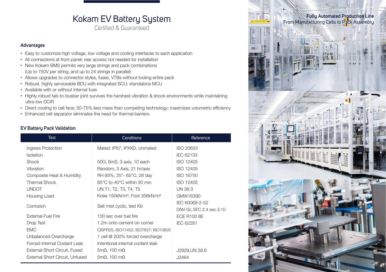## Kokam EV Battery System

Certified & Guaranteed

#### **Advantages**

- · Easy to customize high voltage, low voltage and cooling interfaces to each application
- · All connections at front panel; rear access not needed for installation
- · New Kokam BMS permits very large strings and pack combinations (Up to 750V per string, and up to 24 strings in parallel)
- · Allows upgrades to connector styles, fuses, VTBs without tooling entire pack
- · Robust, highly serviceable BDU with integrated SCU; standalone MCU
- · Available with or without internal fuse
- · Highly robust tab-to-busbar joint survives the harshest vibration & shock environments while maintaining ultra-low DCIR
- · Direct cooling to cell face; 50-75% less mass than competing technology; maximizes volumetric efficiency
- · Enhanced cell separator eliminates the need for thermal barriers

#### **EV Battery Pack Validation**

| <b>Test</b>                     | <b>Conditions</b>                                     | Reference               |
|---------------------------------|-------------------------------------------------------|-------------------------|
| Ingress Protection              | Mated: IP67, IPXXD, Unmated                           | ISO 20653               |
| <b>Isolation</b>                |                                                       | IEC 62133               |
| Shock                           | 50G, 6mS, 3 axis, 10 each                             | ISO 12405               |
| Vibration                       | Random, 3 Axis, 21 hr/axis                            | ISO 12405               |
| Composite Heat & Humidity       | RH 93%, 25°- 65°C, 28 day                             | <b>ISO 16750</b>        |
| <b>Thermal Shock</b>            | 85°C to-40°C within 30 min                            | ISO 12405               |
| <b>UNDOT</b>                    | UN T1, T2, T3, T4, T5                                 | <b>UN 38.3</b>          |
| Housing Load                    | Knee 150kN/m <sup>2</sup> ; Foot 356kN/m <sup>2</sup> | GMW16390                |
| Corrosion                       | Salt mist cyclic, test Kb                             | IEC 60068-2-52          |
|                                 |                                                       | DNV-GL SFC 2.4 sec 3.10 |
| External Fuel Fire              | 130 sec over fuel fire                                | ECE R100 8E             |
| Drop Test                       | 1.2m onto cement on corner                            | IEC 62281               |
| <b>EMC</b>                      | CISPR25; ISO11452; ISO7637; ISO10605                  |                         |
| Unbalanced Overcharge           | 1 cell @ 200% forced overcharge                       |                         |
| Forced Internal Coolant Leak    | Intentional internal coolant leak                     |                         |
| External Short Circuit, Fused   | $5m\Omega$ , 100 m $\Omega$                           | J2929, UN 38.8          |
| External Short Circuit, Unfused | $5m\Omega$ , 100 m $\Omega$                           | J2464                   |